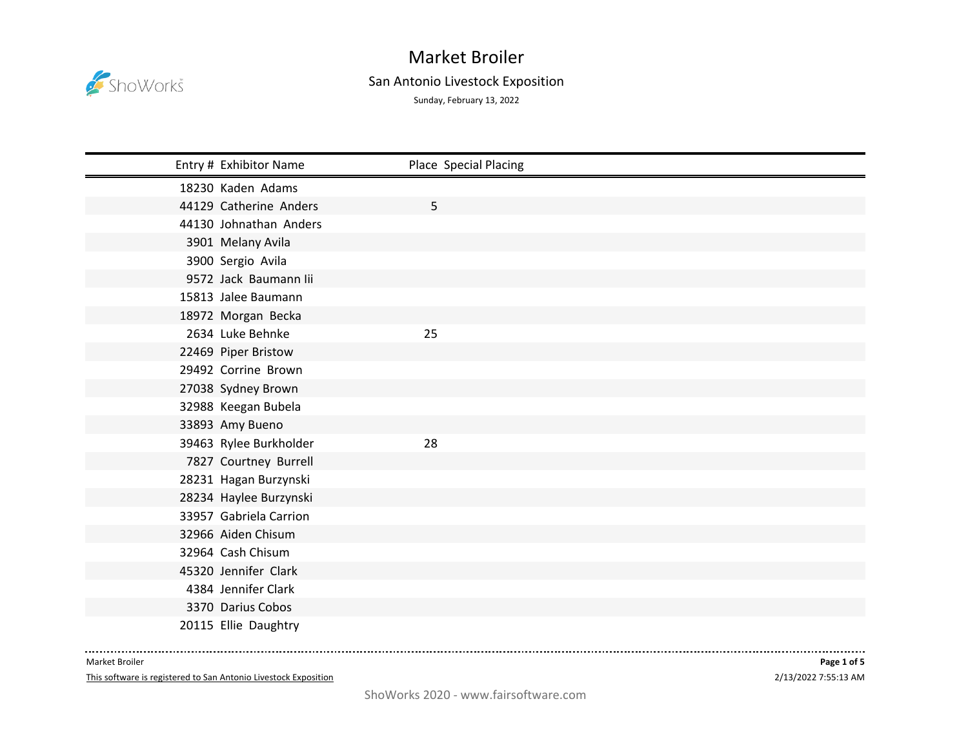

## Market Broiler

## San Antonio Livestock Exposition

Sunday, February 13, 2022

| Entry # Exhibitor Name | Place Special Placing |
|------------------------|-----------------------|
| 18230 Kaden Adams      |                       |
| 44129 Catherine Anders | 5                     |
| 44130 Johnathan Anders |                       |
| 3901 Melany Avila      |                       |
| 3900 Sergio Avila      |                       |
| 9572 Jack Baumann lii  |                       |
| 15813 Jalee Baumann    |                       |
| 18972 Morgan Becka     |                       |
| 2634 Luke Behnke       | 25                    |
| 22469 Piper Bristow    |                       |
| 29492 Corrine Brown    |                       |
| 27038 Sydney Brown     |                       |
| 32988 Keegan Bubela    |                       |
| 33893 Amy Bueno        |                       |
| 39463 Rylee Burkholder | 28                    |
| 7827 Courtney Burrell  |                       |
| 28231 Hagan Burzynski  |                       |
| 28234 Haylee Burzynski |                       |
| 33957 Gabriela Carrion |                       |
| 32966 Aiden Chisum     |                       |
| 32964 Cash Chisum      |                       |
| 45320 Jennifer Clark   |                       |
| 4384 Jennifer Clark    |                       |
| 3370 Darius Cobos      |                       |
| 20115 Ellie Daughtry   |                       |

Market Broiler

This software is registered to San Antonio Livestock Exposition

. . . . . .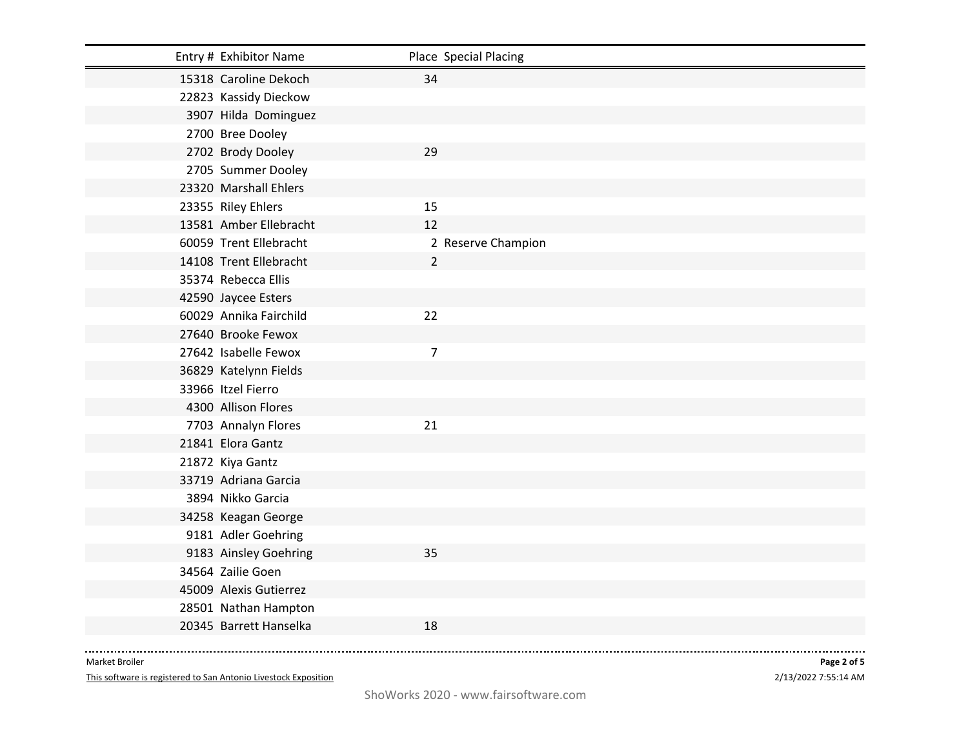| Entry # Exhibitor Name | Place Special Placing |
|------------------------|-----------------------|
| 15318 Caroline Dekoch  | 34                    |
| 22823 Kassidy Dieckow  |                       |
| 3907 Hilda Dominguez   |                       |
| 2700 Bree Dooley       |                       |
| 2702 Brody Dooley      | 29                    |
| 2705 Summer Dooley     |                       |
| 23320 Marshall Ehlers  |                       |
| 23355 Riley Ehlers     | 15                    |
| 13581 Amber Ellebracht | 12                    |
| 60059 Trent Ellebracht | 2 Reserve Champion    |
| 14108 Trent Ellebracht | $\overline{2}$        |
| 35374 Rebecca Ellis    |                       |
| 42590 Jaycee Esters    |                       |
| 60029 Annika Fairchild | 22                    |
| 27640 Brooke Fewox     |                       |
| 27642 Isabelle Fewox   | 7                     |
| 36829 Katelynn Fields  |                       |
| 33966 Itzel Fierro     |                       |
| 4300 Allison Flores    |                       |
| 7703 Annalyn Flores    | 21                    |
| 21841 Elora Gantz      |                       |
| 21872 Kiya Gantz       |                       |
| 33719 Adriana Garcia   |                       |
| 3894 Nikko Garcia      |                       |
| 34258 Keagan George    |                       |
| 9181 Adler Goehring    |                       |
| 9183 Ainsley Goehring  | 35                    |
| 34564 Zailie Goen      |                       |
| 45009 Alexis Gutierrez |                       |
| 28501 Nathan Hampton   |                       |
| 20345 Barrett Hanselka | 18                    |

----------------------Market Broiler

This software is registered to San Antonio Livestock Exposition

2/13/2022 7:55:14 AM **Page 2 of 5**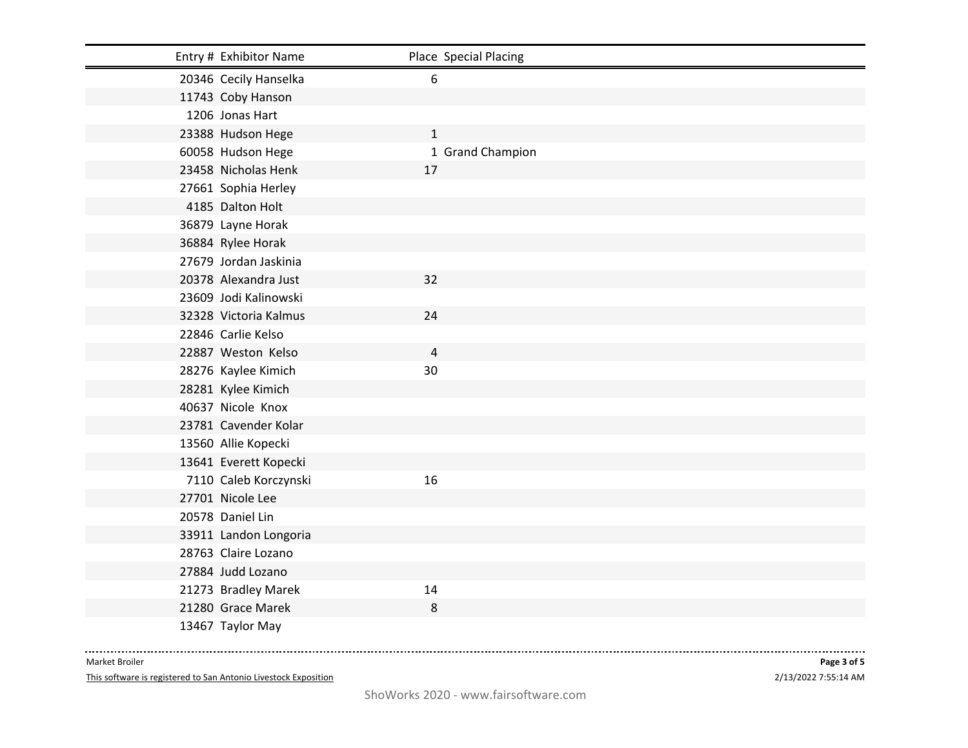| Entry # Exhibitor Name | Place Special Placing |
|------------------------|-----------------------|
| 20346 Cecily Hanselka  | 6                     |
| 11743 Coby Hanson      |                       |
| 1206 Jonas Hart        |                       |
| 23388 Hudson Hege      | $\mathbf{1}$          |
| 60058 Hudson Hege      | 1 Grand Champion      |
| 23458 Nicholas Henk    | 17                    |
| 27661 Sophia Herley    |                       |
| 4185 Dalton Holt       |                       |
| 36879 Layne Horak      |                       |
| 36884 Rylee Horak      |                       |
| 27679 Jordan Jaskinia  |                       |
| 20378 Alexandra Just   | 32                    |
| 23609 Jodi Kalinowski  |                       |
| 32328 Victoria Kalmus  | 24                    |
| 22846 Carlie Kelso     |                       |
| 22887 Weston Kelso     | $\overline{4}$        |
| 28276 Kaylee Kimich    | 30                    |
| 28281 Kylee Kimich     |                       |
| 40637 Nicole Knox      |                       |
| 23781 Cavender Kolar   |                       |
| 13560 Allie Kopecki    |                       |
| 13641 Everett Kopecki  |                       |
| 7110 Caleb Korczynski  | 16                    |
| 27701 Nicole Lee       |                       |
| 20578 Daniel Lin       |                       |
| 33911 Landon Longoria  |                       |
| 28763 Claire Lozano    |                       |
| 27884 Judd Lozano      |                       |
| 21273 Bradley Marek    | 14                    |
| 21280 Grace Marek      | 8                     |
| 13467 Taylor May       |                       |

----------------------Market Broiler

This software is registered to San Antonio Livestock Exposition

2/13/2022 7:55:14 AM **Page 3 of 5**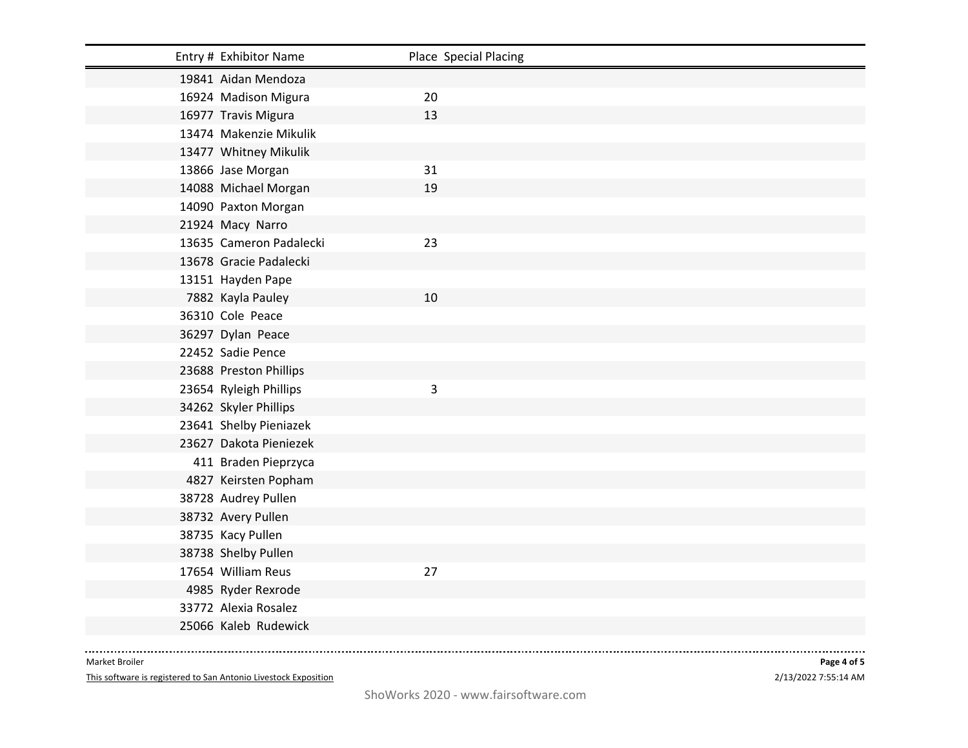| Entry # Exhibitor Name  | Place Special Placing |
|-------------------------|-----------------------|
| 19841 Aidan Mendoza     |                       |
| 16924 Madison Migura    | 20                    |
| 16977 Travis Migura     | 13                    |
| 13474 Makenzie Mikulik  |                       |
| 13477 Whitney Mikulik   |                       |
| 13866 Jase Morgan       | 31                    |
| 14088 Michael Morgan    | 19                    |
| 14090 Paxton Morgan     |                       |
| 21924 Macy Narro        |                       |
| 13635 Cameron Padalecki | 23                    |
| 13678 Gracie Padalecki  |                       |
| 13151 Hayden Pape       |                       |
| 7882 Kayla Pauley       | 10                    |
| 36310 Cole Peace        |                       |
| 36297 Dylan Peace       |                       |
| 22452 Sadie Pence       |                       |
| 23688 Preston Phillips  |                       |
| 23654 Ryleigh Phillips  | 3                     |
| 34262 Skyler Phillips   |                       |
| 23641 Shelby Pieniazek  |                       |
| 23627 Dakota Pieniezek  |                       |
| 411 Braden Pieprzyca    |                       |
| 4827 Keirsten Popham    |                       |
| 38728 Audrey Pullen     |                       |
| 38732 Avery Pullen      |                       |
| 38735 Kacy Pullen       |                       |
| 38738 Shelby Pullen     |                       |
| 17654 William Reus      | 27                    |
| 4985 Ryder Rexrode      |                       |
| 33772 Alexia Rosalez    |                       |
| 25066 Kaleb Rudewick    |                       |
|                         |                       |

----------------------Market Broiler

This software is registered to San Antonio Livestock Exposition